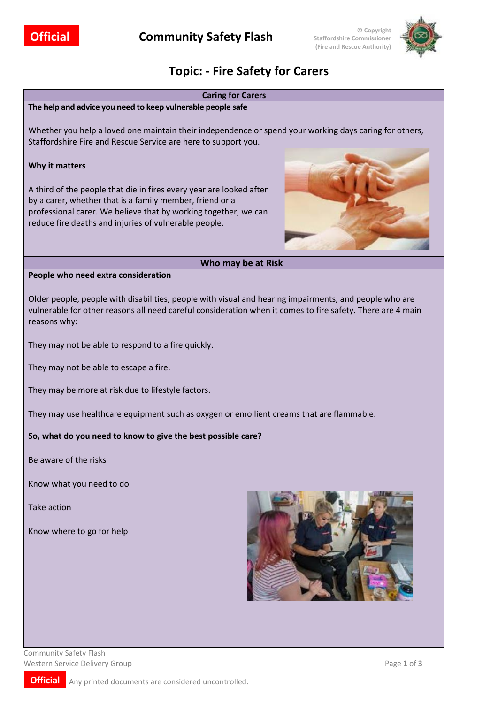

# **Topic: - Fire Safety for Carers**



Community Safety Flash Western Service Delivery Group **Page 1** of **3** 

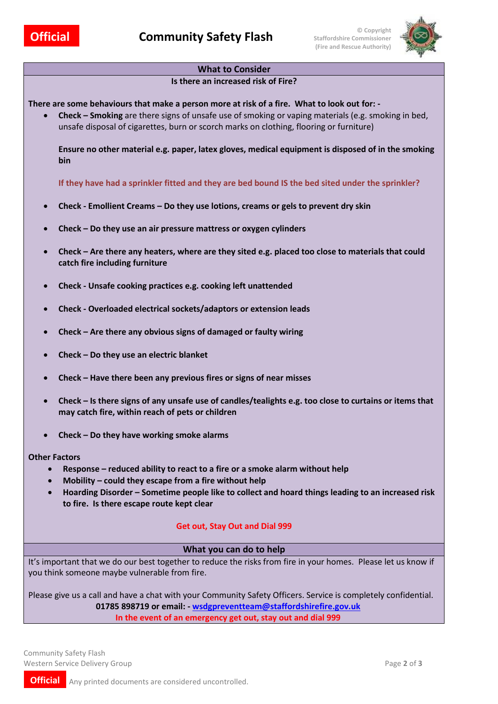

## **What to Consider**

#### **Is there an increased risk of Fire?**

**There are some behaviours that make a person more at risk of a fire. What to look out for: -**

• **Check – Smoking** are there signs of unsafe use of smoking or vaping materials (e.g. smoking in bed, unsafe disposal of cigarettes, burn or scorch marks on clothing, flooring or furniture)

**Ensure no other material e.g. paper, latex gloves, medical equipment is disposed of in the smoking bin**

**If they have had a sprinkler fitted and they are bed bound IS the bed sited under the sprinkler?**

- **Check - Emollient Creams – Do they use lotions, creams or gels to prevent dry skin**
- **Check – Do they use an air pressure mattress or oxygen cylinders**
- **Check – Are there any heaters, where are they sited e.g. placed too close to materials that could catch fire including furniture**
- **Check - Unsafe cooking practices e.g. cooking left unattended**
- **Check - Overloaded electrical sockets/adaptors or extension leads**
- **Check – Are there any obvious signs of damaged or faulty wiring**
- **Check – Do they use an electric blanket**
- **Check – Have there been any previous fires or signs of near misses**
- **Check – Is there signs of any unsafe use of candles/tealights e.g. too close to curtains or items that may catch fire, within reach of pets or children**
- **Check – Do they have working smoke alarms**

#### **Other Factors**

- **Response – reduced ability to react to a fire or a smoke alarm without help**
- **Mobility – could they escape from a fire without help**
- **Hoarding Disorder – Sometime people like to collect and hoard things leading to an increased risk to fire. Is there escape route kept clear**

## **Get out, Stay Out and Dial 999**

## **What you can do to help**

It's important that we do our best together to reduce the risks from fire in your homes. Please let us know if you think someone maybe vulnerable from fire.

Please give us a call and have a chat with your Community Safety Officers. Service is completely confidential. **01785 898719 or email: - [wsdgpreventteam@staffordshirefire.gov.uk](mailto:wsdgpreventteam@staffordshirefire.gov.uk) In the event of an emergency get out, stay out and dial 999**

Community Safety Flash Western Service Delivery Group Page **2** of **3**